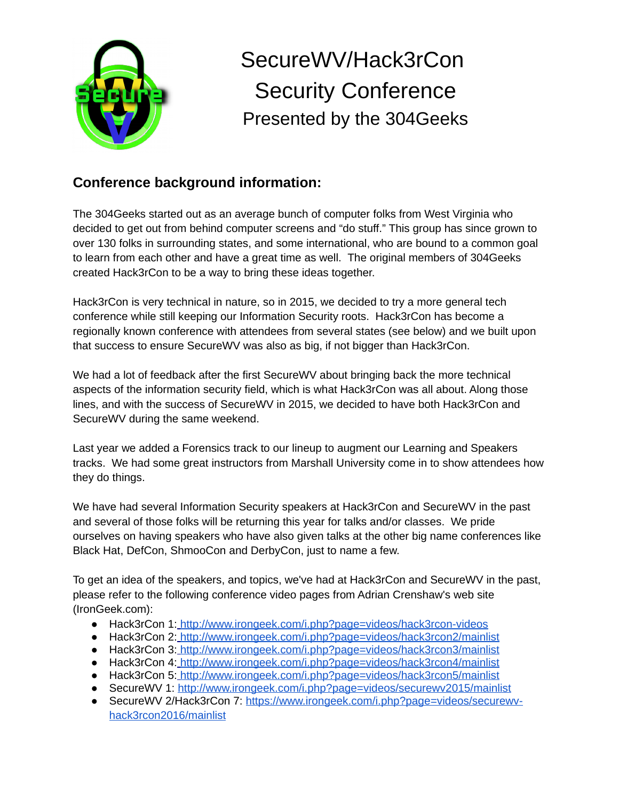

## SecureWV/Hack3rCon Security Conference Presented by the 304Geeks

## **Conference background information:**

The 304Geeks started out as an average bunch of computer folks from West Virginia who decided to get out from behind computer screens and "do stuff." This group has since grown to over 130 folks in surrounding states, and some international, who are bound to a common goal to learn from each other and have a great time as well. The original members of 304Geeks created Hack3rCon to be a way to bring these ideas together.

Hack3rCon is very technical in nature, so in 2015, we decided to try a more general tech conference while still keeping our Information Security roots. Hack3rCon has become a regionally known conference with attendees from several states (see below) and we built upon that success to ensure SecureWV was also as big, if not bigger than Hack3rCon.

We had a lot of feedback after the first SecureWV about bringing back the more technical aspects of the information security field, which is what Hack3rCon was all about. Along those lines, and with the success of SecureWV in 2015, we decided to have both Hack3rCon and SecureWV during the same weekend.

Last year we added a Forensics track to our lineup to augment our Learning and Speakers tracks. We had some great instructors from Marshall University come in to show attendees how they do things.

We have had several Information Security speakers at Hack3rCon and SecureWV in the past and several of those folks will be returning this year for talks and/or classes. We pride ourselves on having speakers who have also given talks at the other big name conferences like Black Hat, DefCon, ShmooCon and DerbyCon, just to name a few.

To get an idea of the speakers, and topics, we've had at Hack3rCon and SecureWV in the past, please refer to the following conference video pages from Adrian Crenshaw's web site (IronGeek.com):

- Hack3rCon 1: <http://www.irongeek.com/i.php?page=videos/hack3rcon-videos>
- Hack3rCon 2: <http://www.irongeek.com/i.php?page=videos/hack3rcon2/mainlist>
- Hack3rCon 3: <http://www.irongeek.com/i.php?page=videos/hack3rcon3/mainlist>
- Hack3rCon 4: <http://www.irongeek.com/i.php?page=videos/hack3rcon4/mainlist>
- Hack3rCon 5: <http://www.irongeek.com/i.php?page=videos/hack3rcon5/mainlist>
- SecureWV 1:<http://www.irongeek.com/i.php?page=videos/securewv2015/mainlist>
- SecureWV 2/Hack3rCon 7: [https://www.irongeek.com/i.php?page=videos/securewv](https://www.irongeek.com/i.php?page=videos/securewv-hack3rcon2016/mainlist)[hack3rcon2016/mainlist](https://www.irongeek.com/i.php?page=videos/securewv-hack3rcon2016/mainlist)